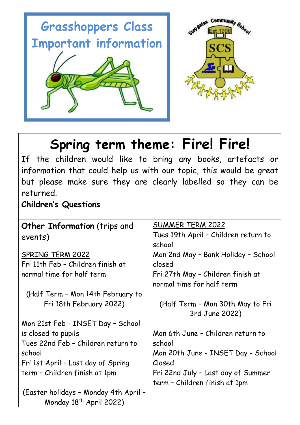



## **Spring term theme: Fire! Fire!**

If the children would like to bring any books, artefacts or information that could help us with our topic, this would be great but please make sure they are clearly labelled so they can be returned.

**Children's Questions**

| <b>Other Information</b> (trips and   | SUMMER TERM 2022                     |  |
|---------------------------------------|--------------------------------------|--|
| events)                               | Tues 19th April - Children return to |  |
|                                       | school                               |  |
| SPRING TERM 2022                      | Mon 2nd May - Bank Holiday - School  |  |
| Fri 11th Feb - Children finish at     | closed                               |  |
| normal time for half term             | Fri 27th May - Children finish at    |  |
|                                       | normal time for half term            |  |
| (Half Term - Mon 14th February to     |                                      |  |
| Fri 18th February 2022)               | (Half Term - Mon 30th May to Fri     |  |
|                                       | 3rd June 2022)                       |  |
| Mon 21st Feb - INSET Day - School     |                                      |  |
| is closed to pupils                   | Mon 6th June - Children return to    |  |
| Tues 22nd Feb - Children return to    | school                               |  |
| school                                | Mon 20th June - INSET Day - School   |  |
| Fri 1st April - Last day of Spring    | Closed                               |  |
| term - Children finish at 1pm         | Fri 22nd July - Last day of Summer   |  |
|                                       | term - Children finish at 1pm        |  |
| (Easter holidays - Monday 4th April - |                                      |  |
| Monday 18 <sup>th</sup> April 2022)   |                                      |  |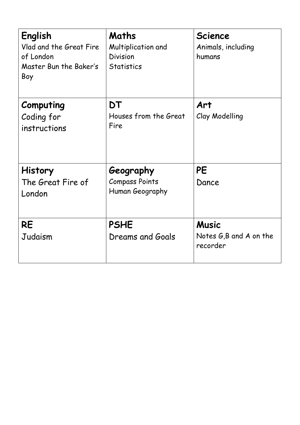| English<br>Vlad and the Great Fire<br>of London<br>Master Bun the Baker's<br>Boy | Maths<br>Multiplication and<br><b>Division</b><br><b>Statistics</b> | <b>Science</b><br>Animals, including<br>humans     |
|----------------------------------------------------------------------------------|---------------------------------------------------------------------|----------------------------------------------------|
| Computing<br>Coding for<br>instructions                                          | DT<br>Houses from the Great<br>Fire                                 | Art<br>Clay Modelling                              |
| <b>History</b><br>The Great Fire of<br>London                                    | Geography<br><b>Compass Points</b><br>Human Geography               | <b>PE</b><br>Dance                                 |
| <b>RE</b><br>Judaism                                                             | <b>PSHE</b><br>Dreams and Goals                                     | <b>Music</b><br>Notes G,B and A on the<br>recorder |